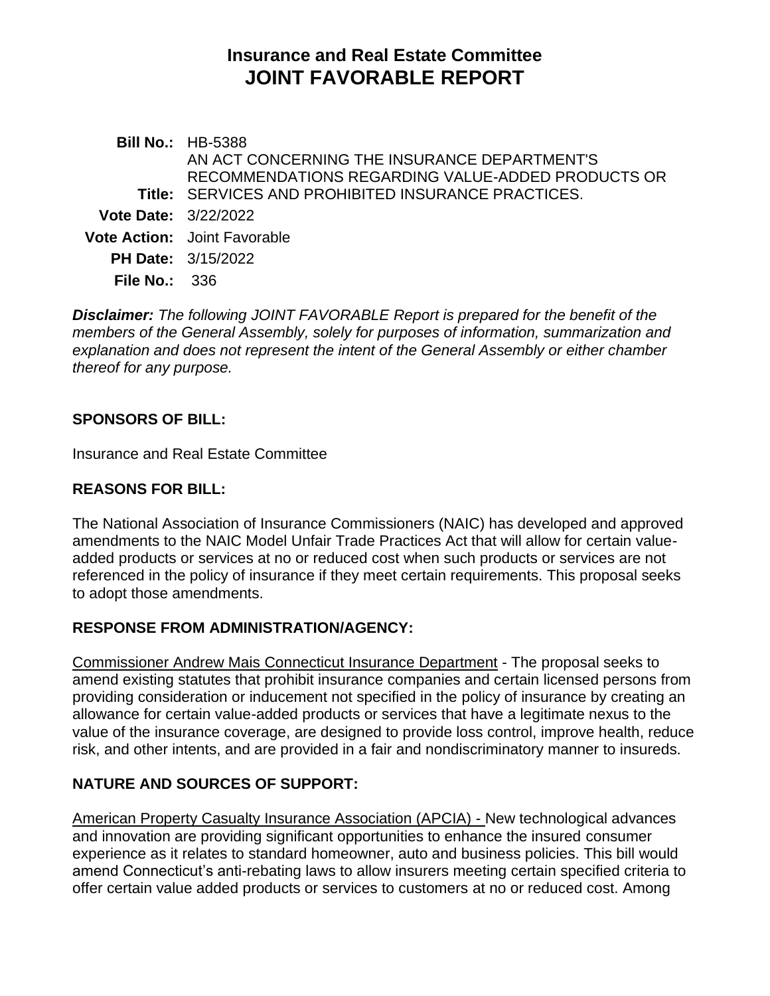# **Insurance and Real Estate Committee JOINT FAVORABLE REPORT**

**Bill No.:** HB-5388 **Title:** SERVICES AND PROHIBITED INSURANCE PRACTICES. AN ACT CONCERNING THE INSURANCE DEPARTMENT'S RECOMMENDATIONS REGARDING VALUE-ADDED PRODUCTS OR **Vote Date:** 3/22/2022 **Vote Action:** Joint Favorable **PH Date:** 3/15/2022 **File No.:** 336

*Disclaimer: The following JOINT FAVORABLE Report is prepared for the benefit of the members of the General Assembly, solely for purposes of information, summarization and explanation and does not represent the intent of the General Assembly or either chamber thereof for any purpose.*

#### **SPONSORS OF BILL:**

Insurance and Real Estate Committee

### **REASONS FOR BILL:**

The National Association of Insurance Commissioners (NAIC) has developed and approved amendments to the NAIC Model Unfair Trade Practices Act that will allow for certain valueadded products or services at no or reduced cost when such products or services are not referenced in the policy of insurance if they meet certain requirements. This proposal seeks to adopt those amendments.

## **RESPONSE FROM ADMINISTRATION/AGENCY:**

Commissioner Andrew Mais Connecticut Insurance Department - The proposal seeks to amend existing statutes that prohibit insurance companies and certain licensed persons from providing consideration or inducement not specified in the policy of insurance by creating an allowance for certain value-added products or services that have a legitimate nexus to the value of the insurance coverage, are designed to provide loss control, improve health, reduce risk, and other intents, and are provided in a fair and nondiscriminatory manner to insureds.

## **NATURE AND SOURCES OF SUPPORT:**

American Property Casualty Insurance Association (APCIA) - New technological advances and innovation are providing significant opportunities to enhance the insured consumer experience as it relates to standard homeowner, auto and business policies. This bill would amend Connecticut's anti-rebating laws to allow insurers meeting certain specified criteria to offer certain value added products or services to customers at no or reduced cost. Among